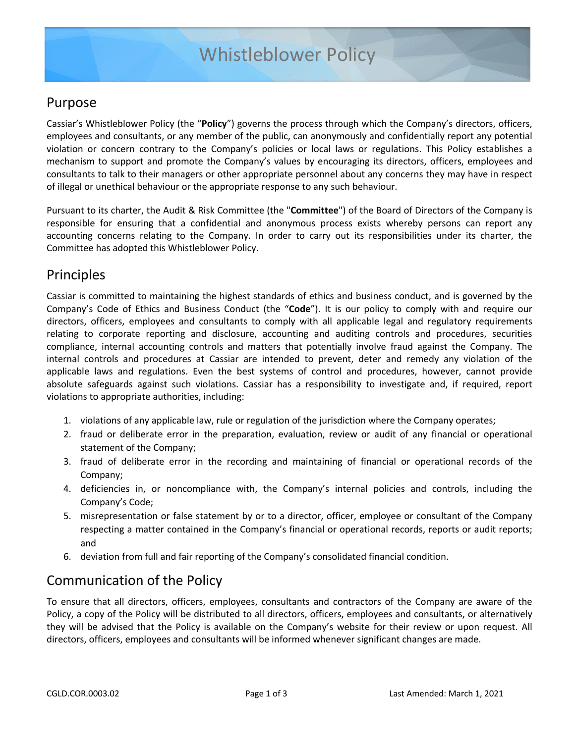## Purpose

Cassiar's Whistleblower Policy (the "**Policy**") governs the process through which the Company's directors, officers, employees and consultants, or any member of the public, can anonymously and confidentially report any potential violation or concern contrary to the Company's policies or local laws or regulations. This Policy establishes a mechanism to support and promote the Company's values by encouraging its directors, officers, employees and consultants to talk to their managers or other appropriate personnel about any concerns they may have in respect of illegal or unethical behaviour or the appropriate response to any such behaviour.

Pursuant to its charter, the Audit & Risk Committee (the "**Committee**") of the Board of Directors of the Company is responsible for ensuring that a confidential and anonymous process exists whereby persons can report any accounting concerns relating to the Company. In order to carry out its responsibilities under its charter, the Committee has adopted this Whistleblower Policy.

## Principles

Cassiar is committed to maintaining the highest standards of ethics and business conduct, and is governed by the Company's Code of Ethics and Business Conduct (the "**Code**"). It is our policy to comply with and require our directors, officers, employees and consultants to comply with all applicable legal and regulatory requirements relating to corporate reporting and disclosure, accounting and auditing controls and procedures, securities compliance, internal accounting controls and matters that potentially involve fraud against the Company. The internal controls and procedures at Cassiar are intended to prevent, deter and remedy any violation of the applicable laws and regulations. Even the best systems of control and procedures, however, cannot provide absolute safeguards against such violations. Cassiar has a responsibility to investigate and, if required, report violations to appropriate authorities, including:

- 1. violations of any applicable law, rule or regulation of the jurisdiction where the Company operates;
- 2. fraud or deliberate error in the preparation, evaluation, review or audit of any financial or operational statement of the Company;
- 3. fraud of deliberate error in the recording and maintaining of financial or operational records of the Company;
- 4. deficiencies in, or noncompliance with, the Company's internal policies and controls, including the Company's Code;
- 5. misrepresentation or false statement by or to a director, officer, employee or consultant of the Company respecting a matter contained in the Company's financial or operational records, reports or audit reports; and
- 6. deviation from full and fair reporting of the Company's consolidated financial condition.

# Communication of the Policy

To ensure that all directors, officers, employees, consultants and contractors of the Company are aware of the Policy, a copy of the Policy will be distributed to all directors, officers, employees and consultants, or alternatively they will be advised that the Policy is available on the Company's website for their review or upon request. All directors, officers, employees and consultants will be informed whenever significant changes are made.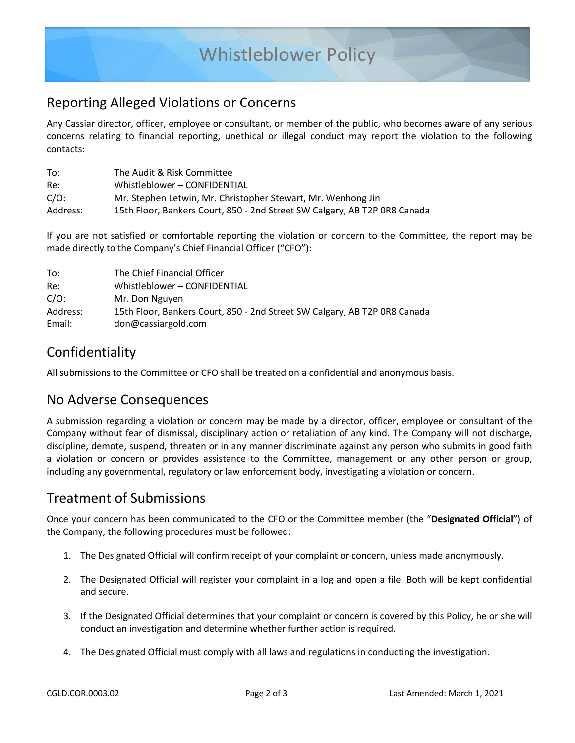# Whistleblower Policy

## Reporting Alleged Violations or Concerns

Any Cassiar director, officer, employee or consultant, or member of the public, who becomes aware of any serious concerns relating to financial reporting, unethical or illegal conduct may report the violation to the following contacts:

| To:      | The Audit & Risk Committee                                                |
|----------|---------------------------------------------------------------------------|
| Re:      | Whistleblower - CONFIDENTIAL                                              |
| $C/O$ :  | Mr. Stephen Letwin, Mr. Christopher Stewart, Mr. Wenhong Jin              |
| Address: | 15th Floor, Bankers Court, 850 - 2nd Street SW Calgary, AB T2P 0R8 Canada |

If you are not satisfied or comfortable reporting the violation or concern to the Committee, the report may be made directly to the Company's Chief Financial Officer ("CFO"):

| The Chief Financial Officer                                               |
|---------------------------------------------------------------------------|
| Whistleblower - CONFIDENTIAL                                              |
| Mr. Don Nguyen                                                            |
| 15th Floor, Bankers Court, 850 - 2nd Street SW Calgary, AB T2P 0R8 Canada |
| don@cassiargold.com                                                       |
|                                                                           |

## Confidentiality

All submissions to the Committee or CFO shall be treated on a confidential and anonymous basis.

### No Adverse Consequences

A submission regarding a violation or concern may be made by a director, officer, employee or consultant of the Company without fear of dismissal, disciplinary action or retaliation of any kind. The Company will not discharge, discipline, demote, suspend, threaten or in any manner discriminate against any person who submits in good faith a violation or concern or provides assistance to the Committee, management or any other person or group, including any governmental, regulatory or law enforcement body, investigating a violation or concern.

### Treatment of Submissions

Once your concern has been communicated to the CFO or the Committee member (the "**Designated Official**") of the Company, the following procedures must be followed:

- 1. The Designated Official will confirm receipt of your complaint or concern, unless made anonymously.
- 2. The Designated Official will register your complaint in a log and open a file. Both will be kept confidential and secure.
- 3. If the Designated Official determines that your complaint or concern is covered by this Policy, he or she will conduct an investigation and determine whether further action is required.
- 4. The Designated Official must comply with all laws and regulations in conducting the investigation.